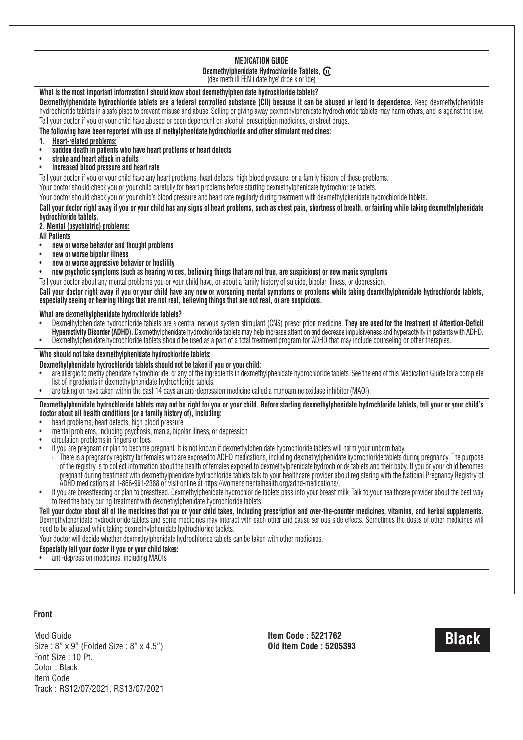#### **MEDICATION GUIDE Dexmethylphenidate Hydrochloride Tablets,** (dex meth ill FEN i date hye" droe klor'ide)

# **What is the most important information I should know about dexmethylphenidate hydrochloride tablets?**

Dexmethylphenidate hydrochloride tablets are a federal controlled substance (CII) because it can be abused or lead to dependence. Keep dexmethylphenidate hydrochloride tablets in a safe place to prevent misuse and abuse. Selling or giving away dexmethylphenidate hydrochloride tablets may harm others, and is against the law. Tell your doctor if you or your child have abused or been dependent on alcohol, prescription medicines, or street drugs.

**The following have been reported with use of methylphenidate hydrochloride and other stimulant medicines:**

- **1. Heart-related problems:**
- **sudden death in patients who have heart problems or heart defects**
- **stroke and heart attack in adults**
- **increased blood pressure and heart rate**

Tell your doctor if you or your child have any heart problems, heart defects, high blood pressure, or a family history of these problems.

Your doctor should check you or your child carefully for heart problems before starting dexmethylphenidate hydrochloride tablets.

Your doctor should check you or your child's blood pressure and heart rate regularly during treatment with dexmethylphenidate hydrochloride tablets.

Call vour doctor right away if you or your child has any signs of heart problems, such as chest pain, shortness of breath, or fainting while taking dexmethylphenidate **hydrochloride tablets.**

# **2. Mental (psychiatric) problems:**

**All Patients**

- **new or worse behavior and thought problems**
- **new or worse bipolar illness**
- **new or worse aggressive behavior or hostility**
- new psychotic symptoms (such as hearing voices, believing things that are not true, are suspicious) or new manic symptoms

Tell your doctor about any mental problems you or your child have, or about a family history of suicide, bipolar illness, or depression.

Call your doctor right away if you or your child have any new or worsening mental symptoms or problems while taking dexmethylphenidate hydrochloride tablets. especially seeing or hearing things that are not real, believing things that are not real, or are suspicious.

# **What are dexmethylphenidate hydrochloride tablets?**

- Dexmethylphenidate hydrochloride tablets are a central nervous system stimulant (CNS) prescription medicine. **They are used for the treatment of Attention-Deficit Hyperactivity Disorder (ADHD).** Dexmethylphenidate hydrochloride tablets may help increase attention and decrease impulsiveness and hyperactivity in patients with ADHD.
- Dexmethylphenidate hydrochloride tablets should be used as a part of a total treatment program for ADHD that may include counseling or other therapies.

# **Who should not take dexmethylphenidate hydrochloride tablets:**

# **Dexmethylphenidate hydrochloride tablets should not be taken if you or your child:**

- are allergic to methylphenidate hydrochloride, or any of the ingredients in dexmethylphenidate hydrochloride tablets. See the end of this Medication Guide for a complete list of ingredients in dexmethylphenidate hydrochloride tablets.
- are taking or have taken within the past 14 days an anti-depression medicine called a monoamine oxidase inhibitor (MAOI).

Dexmethylphenidate hydrochloride tablets may not be right for you or your child. Before starting dexmethylphenidate hydrochloride tablets, tell your or your child's **doctor about all health conditions (or a family history of), including:**

- heart problems, heart defects, high blood pressure
- mental problems, including psychosis, mania, bipolar illness, or depression
- circulation problems in fingers or toes
- if you are pregnant or plan to become pregnant. It is not known if dexmethylphenidate hydrochloride tablets will harm your unborn baby.
	- There is a pregnancy registry for females who are exposed to ADHD medications, including dexmethylphenidate hydrochloride tablets during pregnancy. The purpose of the registry is to collect information about the health of females exposed to dexmethylphenidate hydrochloride tablets and their baby. If you or your child becomes pregnant during treatment with dexmethylphenidate hydrochloride tablets talk to your healthcare provider about registering with the National Pregnancy Registry of ADHD medications at 1-866-961-2388 or visit online at https://womensmentalhealth.org/adhd-medications/.
- if you are breastfeeding or plan to breastfeed. Dexmethylphenidate hydrochloride tablets pass into your breast milk. Talk to your healthcare provider about the best way to feed the baby during treatment with dexmethylphenidate hydrochloride tablets.

Tell your doctor about all of the medicines that you or your child takes, including prescription and over-the-counter medicines, vitamins, and herbal supplements. Dexmethylphenidate hydrochloride tablets and some medicines may interact with each other and cause serious side effects. Sometimes the doses of other medicines will need to be adjusted while taking dexmethylphenidate hydrochloride tablets.

Your doctor will decide whether dexmethylphenidate hydrochloride tablets can be taken with other medicines.

## **Especially tell your doctor if you or your child takes:**

• anti-depression medicines, including MAOIs